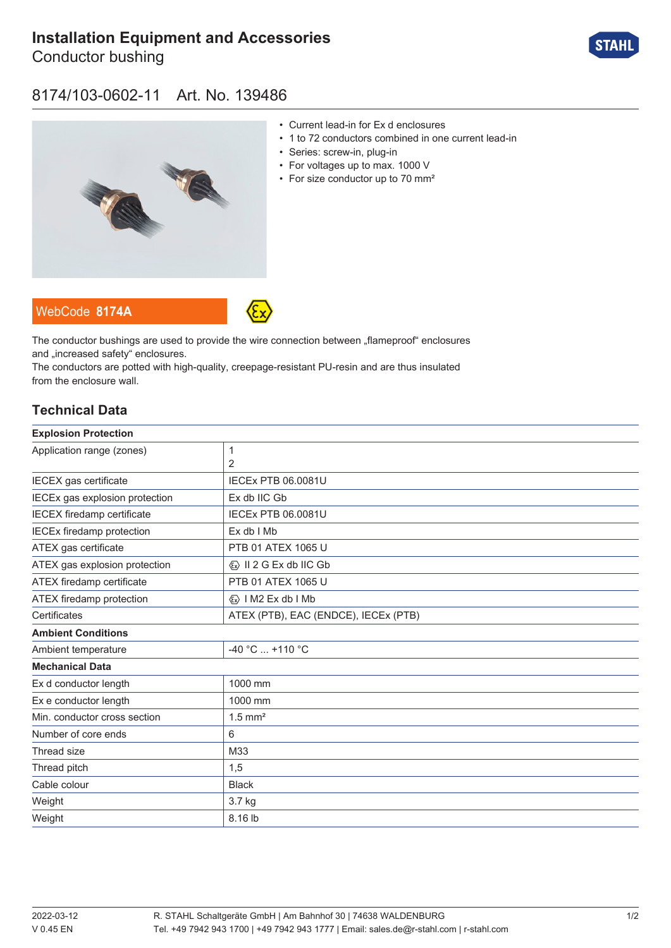# **[Installation Equipment and Accessories](https://r-stahl.com/en/global/products/materialid/139486)**

Conductor bushing



### 8174/103-0602-11 Art. No. 139486



- Current lead-in for Ex d enclosures
- 1 to 72 conductors combined in one current lead-in
- Series: screw-in, plug-in
- For voltages up to max. 1000 V
- For size conductor up to 70 mm<sup>2</sup>

WebCode **[8174A](https://r-stahl.com/en/global/products/downloads/webcode/8174A)**



The conductor bushings are used to provide the wire connection between "flameproof" enclosures and .increased safety" enclosures.

The conductors are potted with high-quality, creepage-resistant PU-resin and are thus insulated from the enclosure wall.

### **Technical Data**

| <b>Explosion Protection</b>       |                                         |
|-----------------------------------|-----------------------------------------|
| Application range (zones)         | 1                                       |
|                                   | 2                                       |
| IECEX gas certificate             | <b>IECEX PTB 06.0081U</b>               |
| IECEx gas explosion protection    | Ex db IIC Gb                            |
| <b>IECEX</b> firedamp certificate | <b>IECEX PTB 06.0081U</b>               |
| <b>IECEx firedamp protection</b>  | Ex db I Mb                              |
| ATEX gas certificate              | PTB 01 ATEX 1065 U                      |
| ATEX gas explosion protection     | $\langle x \rangle$ II 2 G Ex db IIC Gb |
| ATEX firedamp certificate         | PTB 01 ATEX 1065 U                      |
| ATEX firedamp protection          | $\langle x \rangle$   M2 Ex db   Mb     |
| Certificates                      | ATEX (PTB), EAC (ENDCE), IECEx (PTB)    |
| <b>Ambient Conditions</b>         |                                         |
| Ambient temperature               | -40 °C  +110 °C                         |
| <b>Mechanical Data</b>            |                                         |
| Ex d conductor length             | 1000 mm                                 |
| Ex e conductor length             | 1000 mm                                 |
| Min. conductor cross section      | $1.5$ mm <sup>2</sup>                   |
| Number of core ends               | 6                                       |
| Thread size                       | M33                                     |
| Thread pitch                      | 1,5                                     |
| Cable colour                      | <b>Black</b>                            |
| Weight                            | 3.7 kg                                  |
| Weight                            | 8.16 lb                                 |